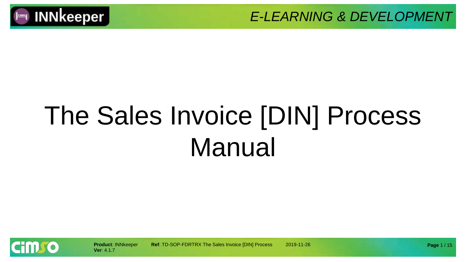

# The Sales Invoice [DIN] Process Manual

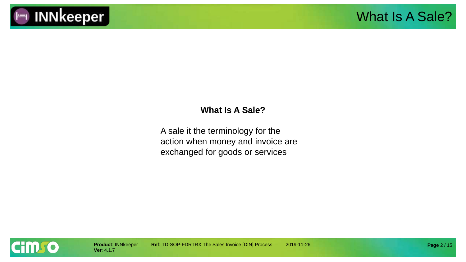

#### **What Is A Sale?**

A sale it the terminology for the action when money and invoice are exchanged for goods or services

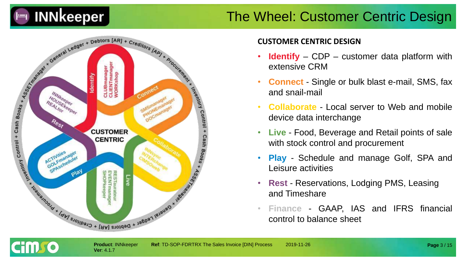

#### The Wheel: Customer Centric Design



**Ver**: 4.1.7

#### **CUSTOMER CENTRIC DESIGN**

- **Identify** CDP customer data platform with extensive CRM
- **Connect** Single or bulk blast e-mail, SMS, fax and snail-mail
- **Collaborate** Local server to Web and mobile device data interchange
- **Live** Food, Beverage and Retail points of sale with stock control and procurement
- **Play** Schedule and manage Golf, SPA and Leisure activities
- **Rest** Reservations, Lodging PMS, Leasing and Timeshare
- **Finance** GAAP, IAS and IFRS financial control to balance sheet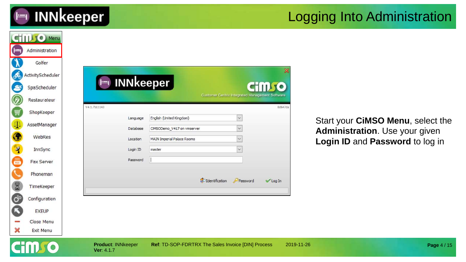

#### Logging Into Administration

|                      | <b>CHILLIO</b> Menu        |                           |                                                                 |                                                        |                 |                                   |             |
|----------------------|----------------------------|---------------------------|-----------------------------------------------------------------|--------------------------------------------------------|-----------------|-----------------------------------|-------------|
| (  - 1               | Administration             |                           |                                                                 |                                                        |                 |                                   |             |
|                      | Golfer                     |                           |                                                                 |                                                        |                 |                                   |             |
| கூ                   | ActivityScheduler          |                           |                                                                 |                                                        |                 |                                   |             |
| S                    | SpaScheduler               | $\vdash$                  | <b>INNkeeper</b>                                                |                                                        | <b>CHILL TO</b> |                                   |             |
| Ø                    | Restaurateur               |                           |                                                                 | <b>Customer Centric Integrated Management Software</b> |                 |                                   |             |
| Į                    | ShopKeeper                 | V4.1.7b11143              |                                                                 |                                                        | 8d647da         |                                   |             |
| $\Phi$               | AssetManager               | Language                  | English (United Kingdom)                                        | $\ddotmark$                                            |                 | Start your CiMSO Menu, select the |             |
| $\bullet$            | WebRes                     | Database<br>Location      | CIMSODemo_V417 on vmserver<br><b>MAIN Imperial Palace Rooms</b> | $\checkmark$                                           |                 | Administration. Use your given    |             |
| $\mathbf{\hat{z}}$   | InnSync                    | Login ID                  | master                                                          |                                                        |                 | Login ID and Password to log in   |             |
| 高级                   | Fax Server                 | Password                  |                                                                 |                                                        |                 |                                   |             |
|                      | Phoneman                   |                           |                                                                 |                                                        |                 |                                   |             |
| 8                    | TimeKeeper                 |                           |                                                                 | dentification<br>Password                              | <b>√Log In</b>  |                                   |             |
| $\mathbf{G}^{\circ}$ | Configuration              |                           |                                                                 |                                                        |                 |                                   |             |
| C                    |                            |                           |                                                                 |                                                        |                 |                                   |             |
|                      | <b>EXEUP</b><br>Close Menu |                           |                                                                 |                                                        |                 |                                   |             |
| ×                    | Exit Menu                  |                           |                                                                 |                                                        |                 |                                   |             |
|                      |                            | <b>Product: INNkeeper</b> | Ref: TD-SOP-FDRTRX The Sales Invoice [DIN] Process              |                                                        | 2019-11-26      |                                   |             |
|                      |                            | Ver: 4.1.7                |                                                                 |                                                        |                 |                                   | Page 4 / 15 |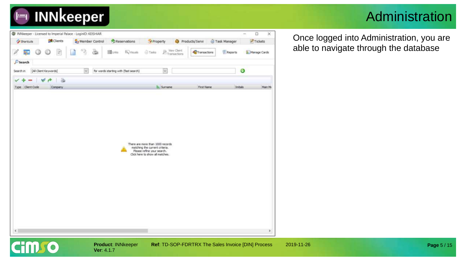## **INNkeeper**

### Administration

| <b>Py Shortcuts</b> | <b>&amp;R</b> Clients         | Member Control | Reservations                          | Property                                                                                         |                           | Products/Servi | Task Manager | Tickets      |
|---------------------|-------------------------------|----------------|---------------------------------------|--------------------------------------------------------------------------------------------------|---------------------------|----------------|--------------|--------------|
| 34<br>G             | $\overline{\mathcal{Z}}$<br>⊙ | s              | 图tinia<br><b>E</b> Visuals            | Tasks                                                                                            | Wew Clent<br>Transactions | Transactions   | Reports      | Manage Cards |
| Search              |                               |                |                                       |                                                                                                  |                           |                |              |              |
| Search in           | [All Client Keywords]         | $\omega$       | for words starting with (fast search) | $\omega$                                                                                         |                           |                | o            |              |
|                     | $\ddot{\alpha}$<br>P          |                |                                       |                                                                                                  |                           |                |              |              |
| Type Client Code    | Company                       |                |                                       | B. Surname                                                                                       |                           | First Name     | Initials     | Main Mr      |
|                     |                               |                |                                       | There are more than 1000 records<br>matching the current criteria.<br>Please refine your search. |                           |                |              |              |
|                     |                               |                |                                       | Click here to show all matches.                                                                  |                           |                |              |              |

**Ver**: 4.1.7

**Cim** o

**Product: INNkeeper Ref: TD-SOP-FDRTRX The Sales Invoice [DIN] Process 2019-11-26** 

Once logged into Administration, you are able to navigate through the database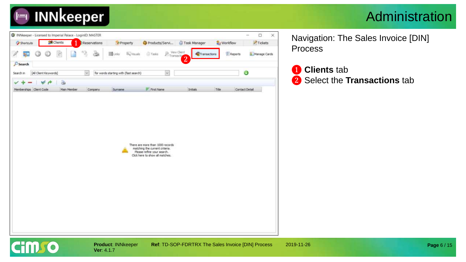

#### Administration



**Ver**: 4.1.7

Navigation: The Sales Invoice [DIN] Process

❶ **Clients** tab ❷ Select the **Transactions** tab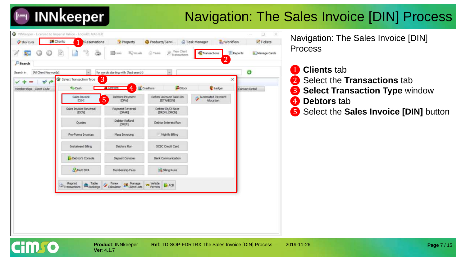## **INNkeeper**

### Navigation: The Sales Invoice [DIN] Process



Navigation: The Sales Invoice [DIN] Process

- **Clients** tab
- ❷ Select the **Transactions** tab
- ❸ **Select Transaction Type** window
- **4** Debtors tab
- ❺ Select the **Sales Invoice [DIN]** button

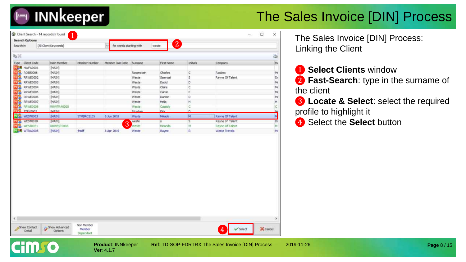

| Search in                | [All Client Keywords] |               | for words starting with |                | $\mathbf{2}^{\mathbf{1}}$<br>weste |            |                 |    |
|--------------------------|-----------------------|---------------|-------------------------|----------------|------------------------------------|------------|-----------------|----|
| 9.20                     |                       |               |                         |                |                                    |            |                 | ۵  |
| Type Client Code         | Main Member           | Member Number | Member Join Date        | <b>Surname</b> | First Name                         | Initials   | Company         | M  |
| <b>DER NWFA0001</b>      | [MAIN]                |               |                         |                |                                    |            |                 |    |
| 38<br><b>ROSE0006</b>    | [MAIN]                |               |                         | Rosenstein     | Charles                            | $\epsilon$ | Raubex          | M  |
| чs<br><b>RRWE0002</b>    | [MAIN]                |               |                         | Weste          | Samnuel                            | s          | Rayne Of Talent | Dr |
| 8<br>RRWE0003            | [MAIN]                |               |                         | Weste          | David                              | D          |                 | M  |
| 518<br>RRWE0004          | [MAIN]                |               |                         | Weste          | Claire                             | c          |                 | M  |
| RRWE0005                 | [MAIN]                |               |                         | Weste          | Cahin                              | c          |                 | M  |
| 98<br>RRWE0006           | [MAIN]                |               |                         | Weste          | Damon                              | D.         |                 | M  |
| 51 23<br><b>RRWE0007</b> | [MAIN]                |               |                         | Weste          | Hela                               | Ħ          |                 | H  |
| чS<br>RRWE0008           | RRWTRA0005            |               |                         | Weste          | Cassidy                            | $\subset$  |                 | c  |
| <b>Chanyars</b> D        | <b>DAATM1</b>         |               |                         | Edmurting      | <b>Dirk</b>                        | $\sim$     |                 | M  |
| <b>WEST0003</b>          | [MAIN]                | STMBRC2105    | 6 Jun 2018              | Weste          | Mikado                             | 訶          | Rayne Of Talent | M  |
| WEST0020<br><b>ET 25</b> | [MAIN]                |               |                         | weste          | $\overline{\mathbf{a}}$            | 5          | Rayne of Talent | Dr |
| ۵B<br>WEST0021           | RRWEST0003            |               | 3                       | Weste          | Miranda                            | M          | Rayne Of Talent | M  |
| <b>IDS</b> WTRA0005      | [MAIN]                | <b>thedf</b>  | 8 Apr 2019              | Weste          | Rayne                              | R          | Weste Travels   | M  |
|                          |                       |               |                         |                |                                    |            |                 |    |
|                          |                       |               |                         |                |                                    |            |                 |    |

**Ver**: 4.1.7

TIDE

The Sales Invoice [DIN] Process: Linking the Client

❶ **Select Clients** window

❷ **Fast-Search**: type in the surname of the client

- ❸ **Locate & Select**: select the required profile to highlight it
- 4 Select the **Select** button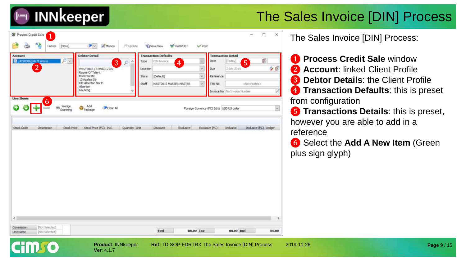

| <b>Account</b>                                                      | <b>Debtor Detail</b>                                                                                                                     |                                         | <b>Transaction Defaults</b>                             |                                           |                                    | <b>Transaction Detail</b>                           |                       |
|---------------------------------------------------------------------|------------------------------------------------------------------------------------------------------------------------------------------|-----------------------------------------|---------------------------------------------------------|-------------------------------------------|------------------------------------|-----------------------------------------------------|-----------------------|
| $D -$<br>IN [4298386] Ms M Weste<br>$\overline{2}$                  | $\overline{3}$<br>Đ<br>WEST0003 / STMBRC2105<br>Rayne Of Talent<br>Ms M Weste<br>13 Azailea Str<br>Old Alberton North<br><b>Alberton</b> | ٠<br>Type<br>Location<br>Store<br>Staff | DIN Invoice<br>4<br>[Default]<br>MAST0015 MASTER MASTER | ×<br>×<br>$\ddot{\phantom{1}}$            | Date<br>Due<br>Reference<br>TXN No | [Today]<br>5<br>2 Sep 2019<br><not posted=""></not> | Ö<br>夕日               |
| Line Items<br>6<br>Wedge<br>Œ<br>1993<br><b>Line Ad</b><br>Scanning | Add<br>Clear All<br>Package                                                                                                              |                                         |                                                         | Foreign Currency (FC) Edits USD US dollar |                                    |                                                     |                       |
| Description<br>Stock Code<br>Stock Price                            | Stock Price (FC) Ind.                                                                                                                    | Quantity Unit                           | <b>Discount</b>                                         | Exclusive                                 | Exclusive (FC)                     | Industve                                            | Inclusive (FC) Ledger |
|                                                                     |                                                                                                                                          |                                         |                                                         |                                           |                                    |                                                     |                       |
|                                                                     |                                                                                                                                          |                                         |                                                         |                                           |                                    |                                                     |                       |
|                                                                     |                                                                                                                                          |                                         |                                                         |                                           |                                    |                                                     |                       |

**Ver**: 4.1.7

**Product**: INNkeeper **Ref**: TD-SOP-FDRTRX The Sales Invoice [DIN] Process 2019-11-26

The Sales Invoice [DIN] Process:

 Process Credit Sale window **Account**: linked Client Profile **Debtor Details**: the Client Profile **Transaction Defaults**: this is preset from configuration

❺ **Transactions Details**: this is preset, however you are able to add in a reference

❻ Select the **Add A New Item** (Green plus sign glyph)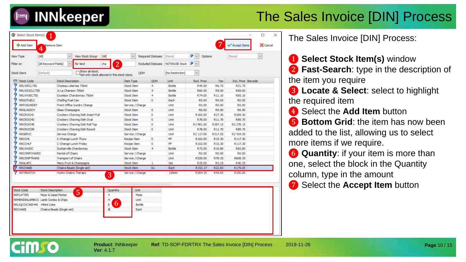

| View Type           | [AI]                              | w.                        | View Stock Group                                               | [AH]      | $\sim$                                     |             | Required Statuses [None] |                         | $\bullet$ $\vee$ | Options  |         | [Norse]            |  |
|---------------------|-----------------------------------|---------------------------|----------------------------------------------------------------|-----------|--------------------------------------------|-------------|--------------------------|-------------------------|------------------|----------|---------|--------------------|--|
| Filter on           | [All Keyword Fields]              | $\omega$                  | for text.                                                      | ರಣ        | $\overline{2}$                             |             | <b>Excluded Statuses</b> | NOTINUSE Stock <b>P</b> |                  |          |         |                    |  |
| Stock Store         | (Definult)                        |                           | Show all stock.<br>Not only stock allowed in this stock store. |           |                                            | OOH         |                          | [No Restriction]        | $\sim$           |          |         |                    |  |
| <b>IStock Code</b>  |                                   | <b>Stock Description</b>  |                                                                |           | Item Type                                  |             | OOH                      | Unit                    | Excl. Price      |          | Tax     | Ind. Price Barcode |  |
| RRLWRCL750          |                                   | Chateau Libertas 750ml    |                                                                |           | <b>Stock Item</b>                          |             | ٠                        | Bottle                  |                  | R45.00   | R6.75   | R51.75             |  |
| RRLWSJCLC750        |                                   | Jc La Chanson 750ml       |                                                                |           | Stock Item                                 |             | 4                        | Bottle                  |                  | R60.00   | R9.00   | R69.00             |  |
| RRLWWEC750          |                                   |                           | Excelsior Chardonnay 750ml                                     |           | <b>Stock Item</b>                          |             | 4                        | Bottle                  |                  | R74.00   | R11.10  | R85.10             |  |
| RRGCFLELC           |                                   | Chafing Fuel Can          |                                                                |           | Stock Item                                 |             | o                        | Each                    |                  | R.O.O.O. | R0.00   | R0.00              |  |
| <b>RRFOSUNDRY</b>   |                                   |                           | Front Office Sundry Charge                                     |           | Service / Charge                           |             |                          | Unit                    |                  | R0.00    | R0.00   | R0.00              |  |
| <b>RRGLASSCH</b>    |                                   | Glass Champagne           |                                                                |           | Stock Item                                 |             | D.                       | Unit                    |                  | R6.00    | R0.90   | R6.90              |  |
| RRCROCHI            |                                   |                           | Crockery Chaving Dish Insert Full                              |           | Stock Item                                 |             | o                        | Unit                    | R182.00          |          | R27.30  | R.209.30           |  |
| <b>RRCROCHD</b>     |                                   |                           | Crockery Chaving Dish Oval                                     |           | Stock Item                                 |             | O                        | Unit.                   |                  | R.78.00  | R.11.70 | R89.70             |  |
| <b>RRCROOM</b>      |                                   |                           | Crockery Chaving Dish Roll Top                                 |           | Stock Item                                 |             | o                        | Unit                    | R1981.00         |          | R297.15 | R2 278.15          |  |
| <b>RRCROCDR</b>     |                                   |                           | Crodkery Chaving Dish Round                                    |           | Stock Item                                 |             | $\Omega$                 | Unit                    |                  | R78.00   | R11.70  | R89.70             |  |
| RRSERVC             |                                   | Service Charge            |                                                                |           | Service / Charge                           |             |                          | Unit                    | R2 117.00        |          | R317.55 | R2 434.55          |  |
| <b>RRCCHL</b>       |                                   | C-Change Lunch Thurs      |                                                                |           | Recipe Item                                |             | $\mathbb{O}$             | PP.                     | R102.00          |          | R15.30  | R117.30            |  |
| RRCCHLF             |                                   | C-Change Lunch Friday     |                                                                |           | Recipe Item                                |             | o                        | pp                      | R102.00          |          | R15.30  | R117.30            |  |
| <b>RRLWWDC</b>      |                                   | Durbanville Chardonnay    |                                                                |           | Stock Item                                 |             | $\ddot{\phantom{1}}$     | Bottle                  |                  | R.72.00  | R10.80  | R82.80             |  |
| <b>RRCONFOHAIRS</b> |                                   | Rental of Chairs          |                                                                |           | Service / Charge                           |             |                          | Unit                    |                  | R0.00    | R0.00   | R0.00              |  |
| <b>RRCONFTRANS</b>  |                                   | Transport of Chairs       |                                                                |           | Service / Charge                           |             |                          | Unit                    | R529.00          |          | R.79.35 | R608.35            |  |
| <b>RRALAFC</b>      |                                   |                           | Menu Fruit & Champagne                                         |           | Stock Item                                 |             | $\mathbf{1}$             | Set                     |                  | R35.00   | R.S.25  | R40.25             |  |
| <b>RROHAKE</b>      |                                   |                           | Chakra Beads (Single set)                                      |           | <b>Stock Item</b>                          |             | 61                       | Each                    | R152.17          |          | R22.83  | R175.00            |  |
| <b>RRTREATCH</b>    |                                   | Hydro Chaira Therapy      |                                                                | 3         | Service / Charge                           |             |                          | 120min                  |                  | R304.35  | R45.65  | R350.00            |  |
|                     |                                   |                           |                                                                |           | 377777777711100011001111111110001100111201 |             |                          |                         |                  |          |         |                    |  |
| Stock Code          | Stock Description                 |                           | 5                                                              | Quantity. |                                            | <b>Unit</b> |                          |                         |                  |          |         |                    |  |
| <b>RRPLATTER</b>    | Meat & Salad Platter              |                           |                                                                | 4         |                                            | Plate       |                          |                         |                  |          |         |                    |  |
|                     | RRMENDINLAMBCO Lamb Combo & Chips |                           |                                                                |           |                                            | Unit        |                          |                         |                  |          |         |                    |  |
|                     | RRLIQCOCOKE440 440ml Cake         |                           |                                                                | 6         |                                            | Bottle      |                          |                         |                  |          |         |                    |  |
| <b>RROHAKB</b>      |                                   | Chakra Beads (Single set) |                                                                | af        |                                            | Each        |                          |                         |                  |          |         |                    |  |

The Sales Invoice [DIN] Process:

**1** Select Stock Item(s) window **2 Fast-Search**: type in the description of the item you require

**8** Locate & Select: select to highlight the required item

**4** Select the **Add Item** button

**b** Bottom Grid: the item has now been added to the list, allowing us to select more items if we require.

**6 Quantity**: if your item is more than one, select the block in the Quantity column, type in the amount

❼ Select the **Accept Item** button



**Ver**: 4.1.7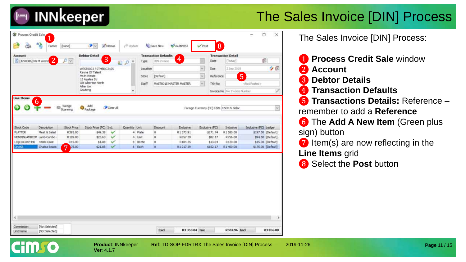

| <b>Account</b>             |                            |                      | <b>Debtor Detail</b>                 |                   |                                          |                    | <b>Transaction Defaults</b> |                        |             |                     | <b>Transaction Detail</b>    |                                         |                    |
|----------------------------|----------------------------|----------------------|--------------------------------------|-------------------|------------------------------------------|--------------------|-----------------------------|------------------------|-------------|---------------------|------------------------------|-----------------------------------------|--------------------|
| [4298386] Ms M Weste       | 2                          | $\mathcal{D}$ $\sim$ | 3                                    |                   | $\hat{\mathbf{r}}$<br>$\mathcal{P}$<br>副 | Type:              | <b>CITY Invoice</b>         | $\clubsuit$            |             | Date                | Today                        | œ                                       |                    |
|                            |                            |                      | WEST0003 / STMBRC2105                |                   |                                          | Location           |                             |                        | $\check{~}$ | Due                 | 2 Sep 2019                   |                                         | クロ                 |
|                            |                            |                      | Rayne Of Talent<br>Ms M Weste        |                   |                                          | Store              | [Default]                   |                        | $\sim$      | Reference           | 5                            |                                         |                    |
|                            |                            |                      | 13 Azailea Str<br>Old Alberton North |                   |                                          | <b>Staff</b>       |                             | MASTO015 MASTER MASTER | $\sim$      | TXIN No.            |                              |                                         |                    |
|                            |                            |                      | Alberton<br>Gauteng                  |                   |                                          |                    |                             |                        |             |                     |                              |                                         |                    |
|                            |                            |                      |                                      |                   | v                                        |                    |                             |                        |             |                     | Invoice No No Invoice Number |                                         | Ù                  |
|                            | Description                | Stock Price          | Stock Price (FC) Ind.                |                   | Quantity Unit                            |                    | <b>Discount</b>             | <b>Exclusive</b>       |             | Exclusive (FC)      | Industrie                    | Inclusive (FC) Ledger                   |                    |
|                            |                            |                      |                                      |                   |                                          |                    |                             |                        |             |                     |                              |                                         |                    |
| Stock Code                 |                            |                      |                                      |                   |                                          |                    |                             |                        |             |                     |                              |                                         |                    |
| <b>PLATTER</b>             | Meat & Salad               | R395.00<br>R189.00   | \$49.38<br>\$23.63                   | v<br>$\checkmark$ |                                          | 4 Plate            | $\circ$<br>ö                | R1373.91<br>R657.39    |             | \$171.74            | R1580.00                     |                                         | \$197.50 [Default] |
|                            |                            |                      |                                      |                   |                                          | 4. Unit            |                             |                        |             | \$82.17             | R756.00                      |                                         | \$94.50 [Default]  |
| MENDINLAMBCOP Lamb Combo - |                            |                      |                                      |                   |                                          |                    |                             |                        |             |                     |                              |                                         |                    |
| LIQCOCOKE440<br>CHAKE      | 440ml Coke<br>Chakra Beads | R.15.00<br>75.00     | \$1.88<br>\$21.88                    | v<br>$\checkmark$ |                                          | 8 Bottle<br>8 Each | o<br>٥                      | R104.35<br>R1217.39    |             | \$13.04<br>\$152.17 | R120.00<br>R1400.00          | \$15.00 [Default]<br>\$175.00 [Default] |                    |
|                            |                            | $\overline{7}$       |                                      |                   |                                          |                    |                             |                        |             |                     |                              |                                         |                    |
|                            |                            |                      |                                      |                   |                                          |                    |                             |                        |             |                     |                              |                                         |                    |
|                            |                            |                      |                                      |                   |                                          |                    |                             |                        |             |                     |                              |                                         |                    |
|                            |                            |                      |                                      |                   |                                          |                    |                             |                        |             |                     |                              |                                         |                    |
|                            |                            |                      |                                      |                   |                                          |                    |                             |                        |             |                     |                              |                                         |                    |
|                            |                            |                      |                                      |                   |                                          |                    |                             |                        |             |                     |                              |                                         |                    |
|                            |                            |                      |                                      |                   |                                          |                    |                             |                        |             |                     |                              |                                         |                    |
|                            |                            |                      |                                      |                   |                                          |                    |                             |                        |             |                     |                              |                                         |                    |
|                            |                            |                      |                                      |                   |                                          |                    |                             |                        |             |                     |                              |                                         |                    |
|                            |                            |                      |                                      |                   |                                          |                    |                             |                        |             |                     |                              |                                         |                    |

The Sales Invoice [DIN] Process:

- **1** Process Credit Sale window
- ❷ **Account**
- ❸ **Debtor Details**
- ❹ **Transaction Defaults**
- ❺ **Transactions Details:** Reference remember to add a **Reference**
- ❻ The **Add A New Item** (Green plus sign) button
- $\bullet$  Item(s) are now reflecting in the **Line Items grid**
- ❽ Select the **Post** button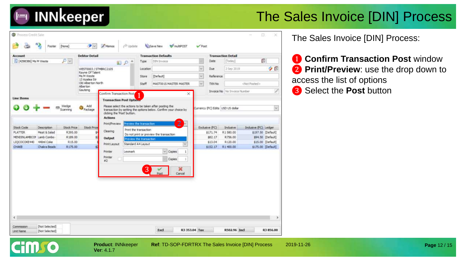

| [4298386] Ms M Weste                        | $\mathcal{P}[\nabla]$              |                                     | 国のへ                            | Type                    |                                                                  |                          |                     |                                   |                       |                   |
|---------------------------------------------|------------------------------------|-------------------------------------|--------------------------------|-------------------------|------------------------------------------------------------------|--------------------------|---------------------|-----------------------------------|-----------------------|-------------------|
|                                             |                                    |                                     |                                |                         | DIN Invoice                                                      |                          | <b>Date</b>         | [Today]                           | ŵ                     |                   |
|                                             |                                    |                                     | WEST0003 / STMBRC2105          | Location                |                                                                  | $\overline{\mathcal{Q}}$ | Due                 | 2 Sep 2019                        |                       | 夕日                |
|                                             |                                    | Rayne Of Talent<br>Ms M Weste       |                                | Store                   | [Default]                                                        | $\mathbb{Q}$             | Reference           |                                   |                       |                   |
|                                             |                                    | 13 Azaíea Str<br>Old Alberton North |                                | Staff                   | MAST00 IS MASTER MASTER                                          | ü                        | TXN No              |                                   | <not posted=""></not> |                   |
|                                             |                                    | Alberton<br>Gauteng                 |                                |                         |                                                                  |                          |                     |                                   |                       |                   |
|                                             |                                    |                                     | Confirm Transaction Post       | $\blacktriangleleft$    | ×                                                                |                          |                     | Invoice No   No Invoice Number    |                       |                   |
| <b>Line Items</b>                           |                                    |                                     | <b>Transaction Post Option</b> |                         |                                                                  |                          |                     |                                   |                       |                   |
|                                             | Wedge                              | Add                                 |                                |                         | Please select the actions to be taken after posting the          |                          |                     |                                   |                       | U                 |
|                                             | Scanning                           | Package                             | clicking the 'Post' button.    |                         | transaction by setting the options below. Confirm your choice by |                          |                     | Currency (FC) Edits USD US dollar |                       |                   |
|                                             |                                    |                                     | <b>Actions</b>                 |                         |                                                                  |                          |                     |                                   |                       |                   |
|                                             |                                    |                                     | Print/Preview                  | Preview the transaction | $\overline{2}$                                                   |                          |                     |                                   |                       |                   |
| Stock Code<br>Description<br><b>PLATTER</b> | <b>Stock Price</b><br>Meat & Salad | <b>Stock Price</b>                  | Clearing                       | Print the transaction   |                                                                  |                          | Exclusive (FC)      | Industve                          | Industre (FC) Ledger  |                   |
| MENDINLAMBCOP Lamb Combo                    | R395.00<br>R189.00                 | \$1                                 |                                |                         | Do not print or preview the transaction                          |                          | \$171.74<br>\$82.17 | R1580.00<br>R756.00               | \$197.50 [Default]    | \$94.50 [Default] |
| 440ml Coke<br>LIQCOCOKE440                  | R15.00                             |                                     | Output                         | Preview the transaction |                                                                  |                          | \$13.04             | R120.00                           |                       | \$15.00 [Default] |
| CHAKE                                       | R175.00<br>Chakra Beads            |                                     | Print Layout                   | Standard A4 Layout      |                                                                  |                          | \$152.17            | R1400.00                          | \$175.00 [Default]    |                   |
|                                             |                                    |                                     | Printer                        | Lexmark                 | $\vee$ Copies                                                    |                          |                     |                                   |                       |                   |
|                                             |                                    |                                     | Printer<br>$\pm 2$             |                         | Cooies                                                           |                          |                     |                                   |                       |                   |
|                                             |                                    |                                     |                                |                         |                                                                  |                          |                     |                                   |                       |                   |
|                                             |                                    |                                     |                                | 3                       | х                                                                |                          |                     |                                   |                       |                   |
|                                             |                                    |                                     |                                |                         | Cancel<br>Post                                                   |                          |                     |                                   |                       |                   |
|                                             |                                    |                                     |                                |                         |                                                                  |                          |                     |                                   |                       |                   |
|                                             |                                    |                                     |                                |                         |                                                                  |                          |                     |                                   |                       |                   |

**Ver**: 4.1.7

**Finklo** 

**Product**: INNkeeper **Ref**: TD-SOP-FDRTRX The Sales Invoice [DIN] Process 2019-11-26

The Sales Invoice [DIN] Process:

**1 Confirm Transaction Post window 2 Print/Preview**: use the drop down to access the list of options ❸ Select the **Post** button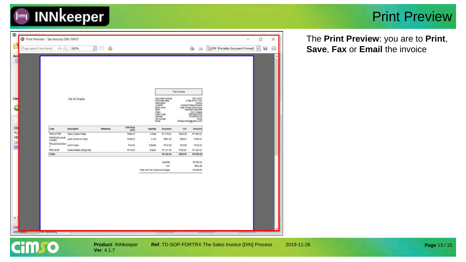

#### Print Preview

| Ō<br>The Print Preview - Tax Invoice DIN 10437<br>O<br>×<br>$\overline{\phantom{a}}$<br>PDF (Portable Document Format)<br><b>DDC</b><br>8<br>÷,<br>100%<br>$\vee$ $\Box$<br>(Type search text here)<br>16.11<br>Acc<br>в<br>Tax invoice<br>Div 10457<br>2 Sig 2019 13:20<br>Document number<br>Document date<br>Ms M Wester<br>Description<br>molos<br>Imperial Palace Rooms<br><b>Location</b><br>G<br>Prec Kitchen Stock Pool<br>Stock store<br>MEM WWW<br>Client<br>Client code<br>Member.<br><b>Tax number</b><br>12345<br>misazovršnogyaros zom<br><b>Email</b> |  |
|----------------------------------------------------------------------------------------------------------------------------------------------------------------------------------------------------------------------------------------------------------------------------------------------------------------------------------------------------------------------------------------------------------------------------------------------------------------------------------------------------------------------------------------------------------------------|--|
|                                                                                                                                                                                                                                                                                                                                                                                                                                                                                                                                                                      |  |
|                                                                                                                                                                                                                                                                                                                                                                                                                                                                                                                                                                      |  |
|                                                                                                                                                                                                                                                                                                                                                                                                                                                                                                                                                                      |  |
| Line                                                                                                                                                                                                                                                                                                                                                                                                                                                                                                                                                                 |  |
|                                                                                                                                                                                                                                                                                                                                                                                                                                                                                                                                                                      |  |
|                                                                                                                                                                                                                                                                                                                                                                                                                                                                                                                                                                      |  |
| Unit Price<br>Code<br>Description<br>Neterance<br><b>Quantity</b><br>Exclusive<br>VAT<br><b>Inclusive</b><br>$\partial P(G)$                                                                                                                                                                                                                                                                                                                                                                                                                                         |  |
| Str<br>ME<br><b>MRPLATTER</b><br>Meet & Salad Platter<br>R396.00<br><b>A Plate</b><br>R1372.91<br>R1 500.00<br>R209.09                                                                                                                                                                                                                                                                                                                                                                                                                                               |  |
| <b><i>RRUENDALANS</i></b><br>Lamp Conto: & Chips<br>9109.00<br>4178<br><b>R657.59</b><br><b>MGLE1</b><br>R788.00<br>COVIDO                                                                                                                                                                                                                                                                                                                                                                                                                                           |  |
| ШÇ<br>RRUGOODORZ44<br>AADHI CONE<br>P.15.00<br>5 Bothe<br>R104.35<br><b>R15.85</b><br>R120.00                                                                                                                                                                                                                                                                                                                                                                                                                                                                        |  |
| $\alpha$<br>э<br>RROHAGE<br>R175.00<br>Chaus Seace (Single set)<br>8 Each<br>R1217.39<br>开报工业<br>R1 400.00                                                                                                                                                                                                                                                                                                                                                                                                                                                           |  |
| Totals<br>R3 353 S4<br><b>R1 EHL00</b><br>RN1 N                                                                                                                                                                                                                                                                                                                                                                                                                                                                                                                      |  |
|                                                                                                                                                                                                                                                                                                                                                                                                                                                                                                                                                                      |  |
| A5 553 DA<br>Subtutal<br>NAT<br>P502.96                                                                                                                                                                                                                                                                                                                                                                                                                                                                                                                              |  |
| Total with Tar. & Service Charges<br>M3 688.00                                                                                                                                                                                                                                                                                                                                                                                                                                                                                                                       |  |
| $\leq$                                                                                                                                                                                                                                                                                                                                                                                                                                                                                                                                                               |  |
|                                                                                                                                                                                                                                                                                                                                                                                                                                                                                                                                                                      |  |
| Con                                                                                                                                                                                                                                                                                                                                                                                                                                                                                                                                                                  |  |
| <b>University</b><br><b>TIVOT SHIELIEU</b>                                                                                                                                                                                                                                                                                                                                                                                                                                                                                                                           |  |

The **Print Preview**: you are to **Print**, **Save**, **Fax** or **Email** the invoice



**Ver**: 4.1.7

**Product: INNkeeper Ref: TD-SOP-FDRTRX The Sales Invoice [DIN] Process 2019-11-26**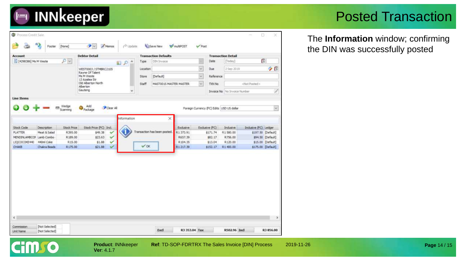#### Posted Transaction

The **Information** window; confirming the DIN was successfully posted

| <b>Account</b>        |                                        |                    | <b>Debtor Detail</b>                |                   |             |              | <b>Transaction Defaults</b>  |                    |          | <b>Transaction Detail</b>                 |                    |                       |                                        |
|-----------------------|----------------------------------------|--------------------|-------------------------------------|-------------------|-------------|--------------|------------------------------|--------------------|----------|-------------------------------------------|--------------------|-----------------------|----------------------------------------|
| [4298386] Ms M Weste  |                                        | ای اور             |                                     |                   | 国のへ         | Type         | DIN Invoice                  |                    |          | Date                                      | [Today]            | 霞                     |                                        |
|                       |                                        |                    | WEST0003 / STMBRC2105               |                   |             | Location     |                              |                    | $\omega$ | Due                                       | 2-Sep 2019         |                       | 夕日                                     |
|                       |                                        |                    | Rayne Of Talent<br>Ms M Weste       |                   |             | <b>Store</b> | [Default]                    |                    | $\omega$ | Reference                                 |                    |                       |                                        |
|                       |                                        |                    | 13 Azalea Str<br>Old Alberton North |                   |             | <b>Staff</b> | MASTOO1S MASTER MASTER       |                    | $\omega$ | TXN No                                    |                    | <not posted=""></not> |                                        |
|                       |                                        |                    | Alberton<br>Gauteng                 |                   |             |              |                              |                    |          | Invoice No                                | No Invoice Number  |                       |                                        |
| <b>Line Items</b>     |                                        |                    |                                     |                   |             |              |                              |                    |          |                                           |                    |                       |                                        |
|                       |                                        |                    |                                     |                   |             |              |                              |                    |          |                                           |                    |                       |                                        |
|                       | 問                                      | Wedge<br>Scanning  | Add<br>Package                      | Clear All         |             |              |                              |                    |          | Foreign Currency (FC) Edits USD US dollar |                    |                       | $\omega$                               |
|                       |                                        |                    |                                     |                   |             |              |                              |                    |          |                                           |                    |                       |                                        |
|                       |                                        |                    |                                     |                   | Information |              | ×                            |                    |          |                                           |                    |                       |                                        |
| <b>Stock Code</b>     | Description                            | <b>Stock Price</b> | Stock Price (FC) Incl.              |                   |             |              |                              | <b>Exclusive</b>   |          | Exclusive (FC)                            | Indusive           | Industre (FC) Ledger  |                                        |
| <b>PLATTER</b>        | Meat & Salad                           | R395.00            | \$49.38                             | ✓                 |             |              | Transaction has been posted. | R1373.91           |          | \$171.74                                  | R1580.00           |                       | \$197.50 [Default]                     |
|                       | MENDINLAMBCOP Lamb Combo<br>440ml Coke | R189.00<br>R.15.00 | \$23.63<br>\$1.88                   | $\checkmark$<br>✓ |             |              |                              | R657.39<br>R104.35 |          | \$82.17<br>\$13.04                        | R756.00<br>R120.00 |                       | \$94.50 [Default]<br>\$15.00 [Default] |
|                       |                                        |                    | \$21.88                             | v                 |             | $\vee$ OK    |                              | R1217.39           |          | \$152.17                                  | R1-400.00          | \$175.00 [Default]    |                                        |
|                       | Chakra Beads                           | R175.00            |                                     |                   |             |              |                              |                    |          |                                           |                    |                       |                                        |
|                       |                                        |                    |                                     |                   |             |              |                              |                    |          |                                           |                    |                       |                                        |
|                       |                                        |                    |                                     |                   |             |              |                              |                    |          |                                           |                    |                       |                                        |
|                       |                                        |                    |                                     |                   |             |              |                              |                    |          |                                           |                    |                       |                                        |
|                       |                                        |                    |                                     |                   |             |              |                              |                    |          |                                           |                    |                       |                                        |
|                       |                                        |                    |                                     |                   |             |              |                              |                    |          |                                           |                    |                       |                                        |
|                       |                                        |                    |                                     |                   |             |              |                              |                    |          |                                           |                    |                       |                                        |
|                       |                                        |                    |                                     |                   |             |              |                              |                    |          |                                           |                    |                       |                                        |
|                       |                                        |                    |                                     |                   |             |              |                              |                    |          |                                           |                    |                       |                                        |
|                       |                                        |                    |                                     |                   |             |              |                              |                    |          |                                           |                    |                       |                                        |
|                       |                                        |                    |                                     |                   |             |              |                              |                    |          |                                           |                    |                       |                                        |
| LIQCOCOKE440<br>CHAKE |                                        |                    |                                     |                   |             |              |                              |                    |          |                                           |                    |                       |                                        |

**INNkeeper** 

 $\blacksquare$